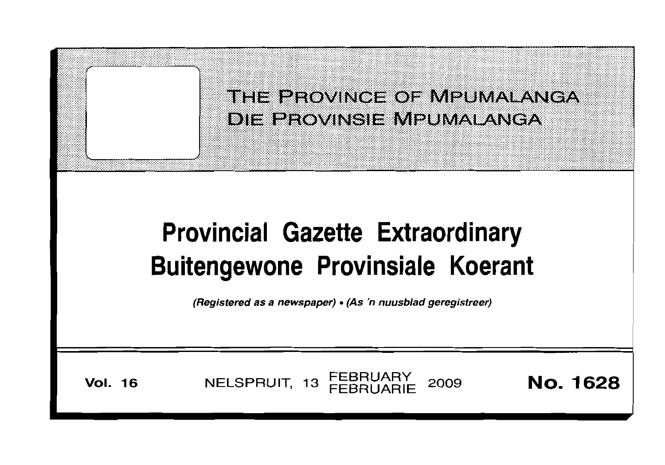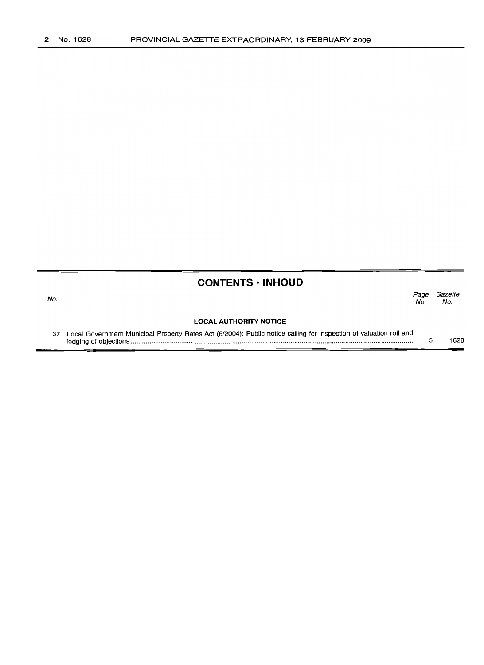No.

## **CONTENTS • INHOUD**

*Page Gazette* No. No.

## **LOCAL AUTHORITY NOTICE**

37 Local Government Municipal Property Rates Act (6/2004): Public notice calling for inspection of valuation roll and lodging of objections '" . 3 1628